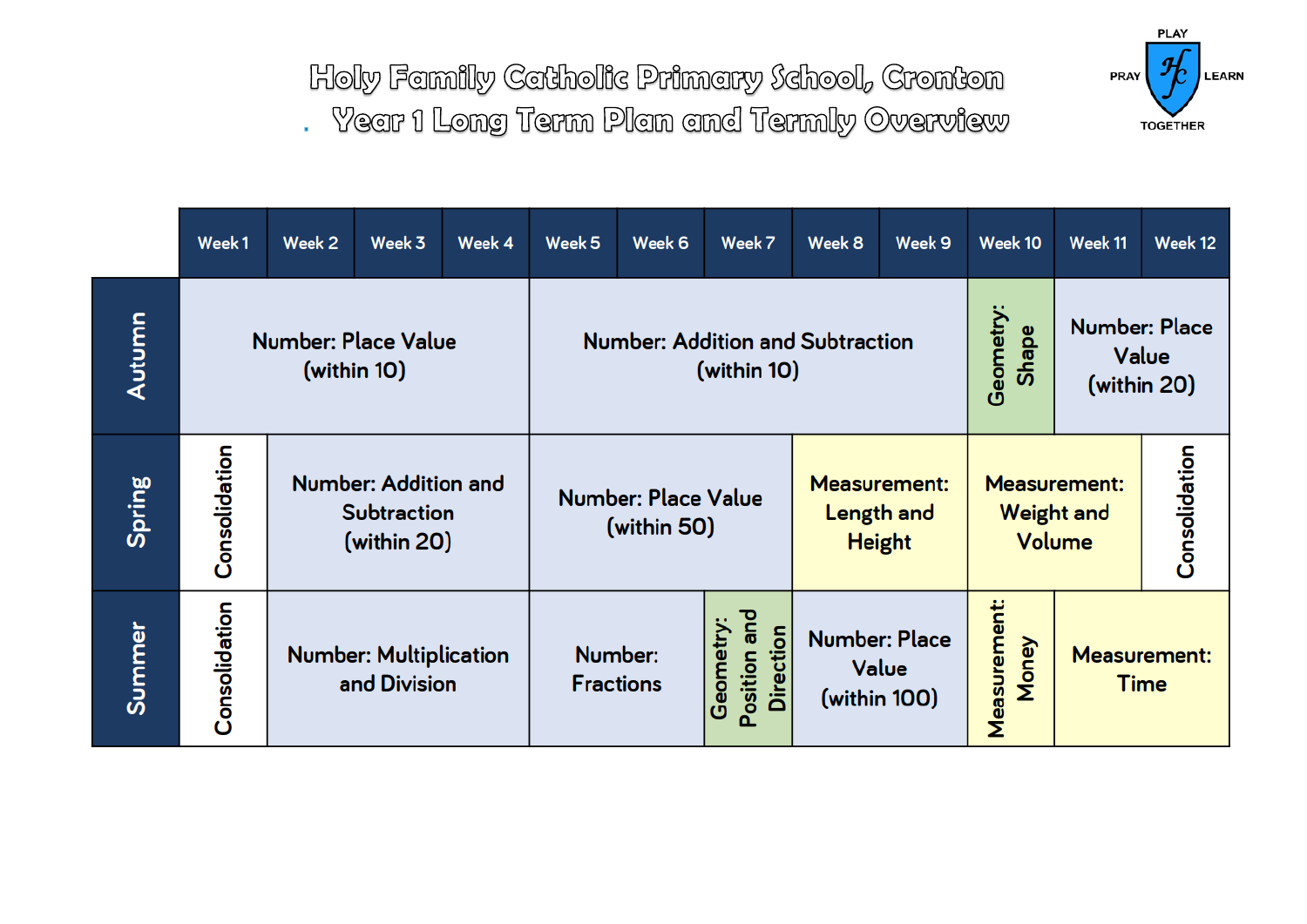Holy Family Catholic Primary School, Cronton

. Year 1 Long Term Plan and Termly Overview



|        | Week 1        | Week 2                                                           | Week 3 | Week 4                                    | Week 5                                                 | Week 6                                                    | Week 7 | Week 8                                             | Week 9                       | Week 10            | Week 11                                      | Week 12 |
|--------|---------------|------------------------------------------------------------------|--------|-------------------------------------------|--------------------------------------------------------|-----------------------------------------------------------|--------|----------------------------------------------------|------------------------------|--------------------|----------------------------------------------|---------|
| Autumn |               | <b>Number: Place Value</b><br>(within 10)                        |        |                                           | <b>Number: Addition and Subtraction</b><br>(within 10) |                                                           |        |                                                    |                              | Geometry:<br>Shape | <b>Number: Place</b><br>Value<br>(within 20) |         |
| Spring | Consolidation | <b>Number: Addition and</b><br><b>Subtraction</b><br>(within 20) |        | <b>Number: Place Value</b><br>(within 50) |                                                        | <b>Measurement:</b><br><b>Length and</b><br><b>Height</b> |        | <b>Measurement:</b><br><b>Weight and</b><br>Volume |                              | Consolidation      |                                              |         |
| Summer | Consolidation | <b>Number: Multiplication</b><br>and Division                    |        |                                           | Number:<br><b>Fractions</b>                            | Position and<br>Geometry:<br><b>Direction</b>             |        | <b>Number: Place</b><br>Value<br>(within 100)      | <b>Measurement:</b><br>Money |                    | <b>Measurement:</b><br><b>Time</b>           |         |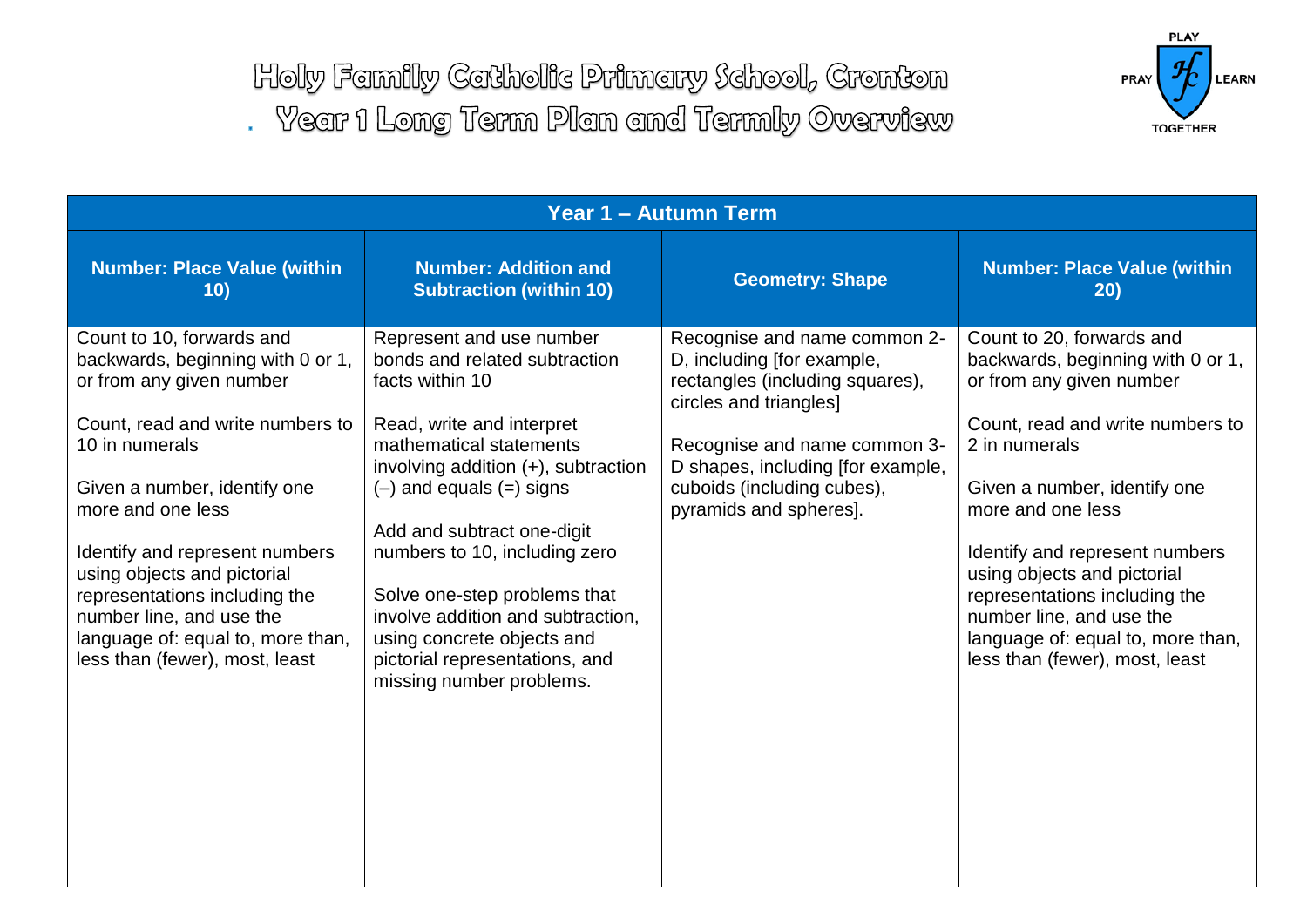Holy Family Catholic Primary School, Cronton . Year 1 Long Term Plan and Termly Overview



| <b>Year 1 - Autumn Term</b>                                                                                                                                                                                                                                                                                                                                                                                |                                                                                                                                                                                                                                                                                                                                                                                                                                                |                                                                                                                                                                                                                                                      |                                                                                                                                                                                                                                                                                                                                                                                                           |  |  |  |  |
|------------------------------------------------------------------------------------------------------------------------------------------------------------------------------------------------------------------------------------------------------------------------------------------------------------------------------------------------------------------------------------------------------------|------------------------------------------------------------------------------------------------------------------------------------------------------------------------------------------------------------------------------------------------------------------------------------------------------------------------------------------------------------------------------------------------------------------------------------------------|------------------------------------------------------------------------------------------------------------------------------------------------------------------------------------------------------------------------------------------------------|-----------------------------------------------------------------------------------------------------------------------------------------------------------------------------------------------------------------------------------------------------------------------------------------------------------------------------------------------------------------------------------------------------------|--|--|--|--|
| <b>Number: Place Value (within</b><br>10)                                                                                                                                                                                                                                                                                                                                                                  | <b>Number: Addition and</b><br><b>Subtraction (within 10)</b>                                                                                                                                                                                                                                                                                                                                                                                  | <b>Geometry: Shape</b>                                                                                                                                                                                                                               | <b>Number: Place Value (within</b><br>20)                                                                                                                                                                                                                                                                                                                                                                 |  |  |  |  |
| Count to 10, forwards and<br>backwards, beginning with 0 or 1,<br>or from any given number<br>Count, read and write numbers to<br>10 in numerals<br>Given a number, identify one<br>more and one less<br>Identify and represent numbers<br>using objects and pictorial<br>representations including the<br>number line, and use the<br>language of: equal to, more than,<br>less than (fewer), most, least | Represent and use number<br>bonds and related subtraction<br>facts within 10<br>Read, write and interpret<br>mathematical statements<br>involving addition $(+)$ , subtraction<br>$(-)$ and equals $(=)$ signs<br>Add and subtract one-digit<br>numbers to 10, including zero<br>Solve one-step problems that<br>involve addition and subtraction,<br>using concrete objects and<br>pictorial representations, and<br>missing number problems. | Recognise and name common 2-<br>D, including [for example,<br>rectangles (including squares),<br>circles and triangles]<br>Recognise and name common 3-<br>D shapes, including [for example,<br>cuboids (including cubes),<br>pyramids and spheres]. | Count to 20, forwards and<br>backwards, beginning with 0 or 1,<br>or from any given number<br>Count, read and write numbers to<br>2 in numerals<br>Given a number, identify one<br>more and one less<br>Identify and represent numbers<br>using objects and pictorial<br>representations including the<br>number line, and use the<br>language of: equal to, more than,<br>less than (fewer), most, least |  |  |  |  |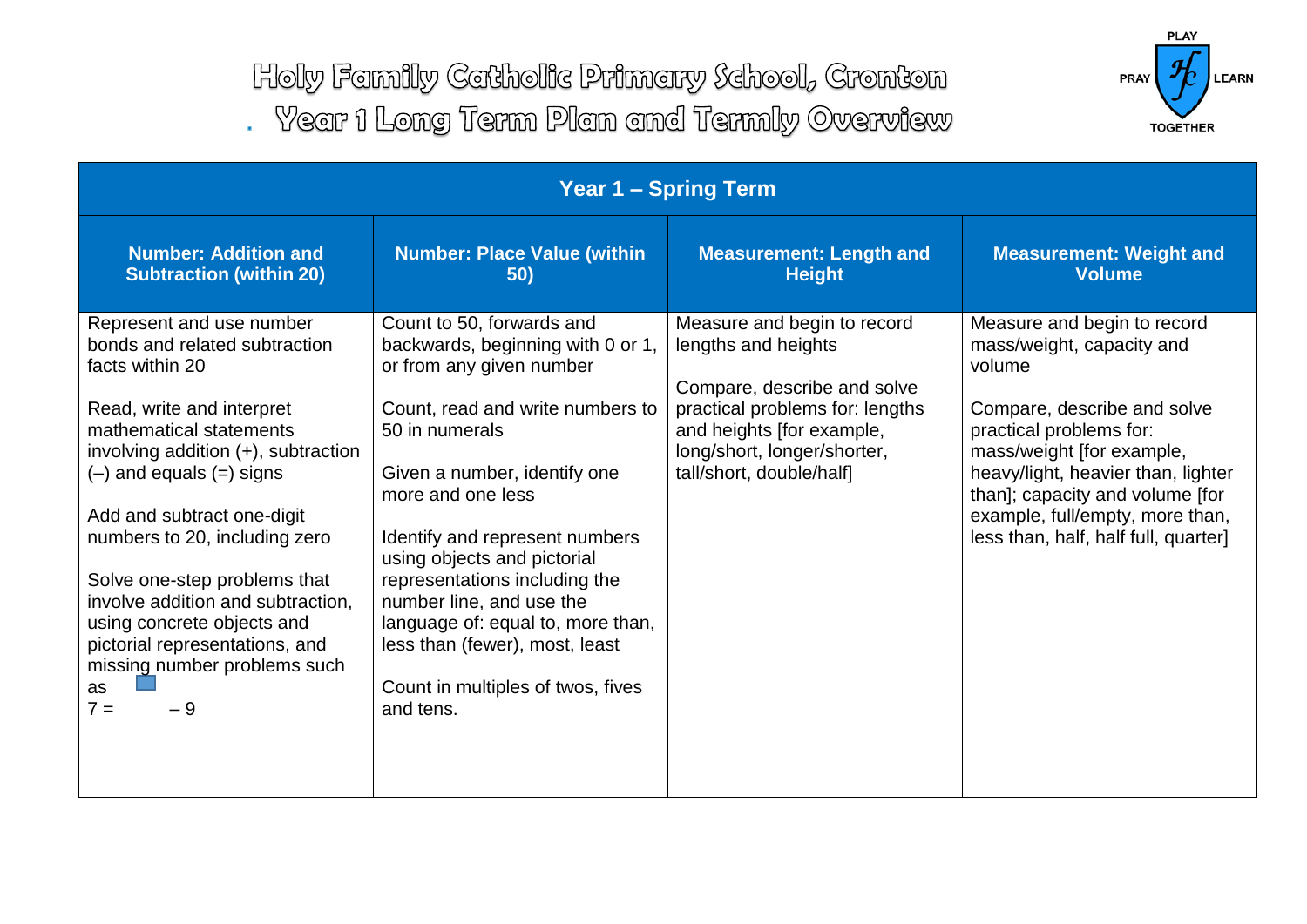Holy Family Catholic Primary School, Cronton . Year 1 Long Term Plan and Termly Overview



| <b>Year 1 - Spring Term</b>                                                                                                                                                                                                                                                                                                                                                                                                                                  |                                                                                                                                                                                                              |                                                                                                                                                                                                                                                                                                               |  |  |  |  |  |
|--------------------------------------------------------------------------------------------------------------------------------------------------------------------------------------------------------------------------------------------------------------------------------------------------------------------------------------------------------------------------------------------------------------------------------------------------------------|--------------------------------------------------------------------------------------------------------------------------------------------------------------------------------------------------------------|---------------------------------------------------------------------------------------------------------------------------------------------------------------------------------------------------------------------------------------------------------------------------------------------------------------|--|--|--|--|--|
| <b>Number: Place Value (within</b><br>50)                                                                                                                                                                                                                                                                                                                                                                                                                    | <b>Measurement: Length and</b><br><b>Height</b>                                                                                                                                                              | <b>Measurement: Weight and</b><br><b>Volume</b>                                                                                                                                                                                                                                                               |  |  |  |  |  |
| Count to 50, forwards and<br>backwards, beginning with 0 or 1,<br>or from any given number<br>Count, read and write numbers to<br>50 in numerals<br>Given a number, identify one<br>more and one less<br>Identify and represent numbers<br>using objects and pictorial<br>representations including the<br>number line, and use the<br>language of: equal to, more than,<br>less than (fewer), most, least<br>Count in multiples of twos, fives<br>and tens. | Measure and begin to record<br>lengths and heights<br>Compare, describe and solve<br>practical problems for: lengths<br>and heights [for example,<br>long/short, longer/shorter,<br>tall/short, double/half] | Measure and begin to record<br>mass/weight, capacity and<br>volume<br>Compare, describe and solve<br>practical problems for:<br>mass/weight [for example,<br>heavy/light, heavier than, lighter<br>than]; capacity and volume [for<br>example, full/empty, more than,<br>less than, half, half full, quarter] |  |  |  |  |  |
|                                                                                                                                                                                                                                                                                                                                                                                                                                                              |                                                                                                                                                                                                              |                                                                                                                                                                                                                                                                                                               |  |  |  |  |  |